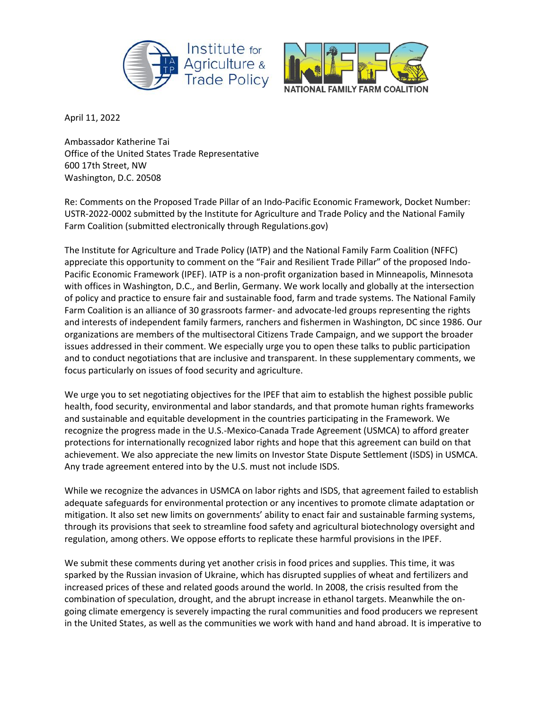



April 11, 2022

Ambassador Katherine Tai Office of the United States Trade Representative 600 17th Street, NW Washington, D.C. 20508

Re: Comments on the Proposed Trade Pillar of an Indo-Pacific Economic Framework, Docket Number: USTR-2022-0002 submitted by the Institute for Agriculture and Trade Policy and the National Family Farm Coalition (submitted electronically through Regulations.gov)

The Institute for Agriculture and Trade Policy (IATP) and the National Family Farm Coalition (NFFC) appreciate this opportunity to comment on the "Fair and Resilient Trade Pillar" of the proposed Indo-Pacific Economic Framework (IPEF). IATP is a non-profit organization based in Minneapolis, Minnesota with offices in Washington, D.C., and Berlin, Germany. We work locally and globally at the intersection of policy and practice to ensure fair and sustainable food, farm and trade systems. The National Family Farm Coalition is an alliance of 30 grassroots farmer- and advocate-led groups representing the rights and interests of independent family farmers, ranchers and fishermen in Washington, DC since 1986. Our organizations are members of the multisectoral Citizens Trade Campaign, and we support the broader issues addressed in their comment. We especially urge you to open these talks to public participation and to conduct negotiations that are inclusive and transparent. In these supplementary comments, we focus particularly on issues of food security and agriculture.

We urge you to set negotiating objectives for the IPEF that aim to establish the highest possible public health, food security, environmental and labor standards, and that promote human rights frameworks and sustainable and equitable development in the countries participating in the Framework. We recognize the progress made in the U.S.-Mexico-Canada Trade Agreement (USMCA) to afford greater protections for internationally recognized labor rights and hope that this agreement can build on that achievement. We also appreciate the new limits on Investor State Dispute Settlement (ISDS) in USMCA. Any trade agreement entered into by the U.S. must not include ISDS.

While we recognize the advances in USMCA on labor rights and ISDS, that agreement failed to establish adequate safeguards for environmental protection or any incentives to promote climate adaptation or mitigation. It also set new limits on governments' ability to enact fair and sustainable farming systems, through its provisions that seek to streamline food safety and agricultural biotechnology oversight and regulation, among others. We oppose efforts to replicate these harmful provisions in the IPEF.

We submit these comments during yet another crisis in food prices and supplies. This time, it was sparked by the Russian invasion of Ukraine, which has disrupted supplies of wheat and fertilizers and increased prices of these and related goods around the world. In 2008, the crisis resulted from the combination of speculation, drought, and the abrupt increase in ethanol targets. Meanwhile the ongoing climate emergency is severely impacting the rural communities and food producers we represent in the United States, as well as the communities we work with hand and hand abroad. It is imperative to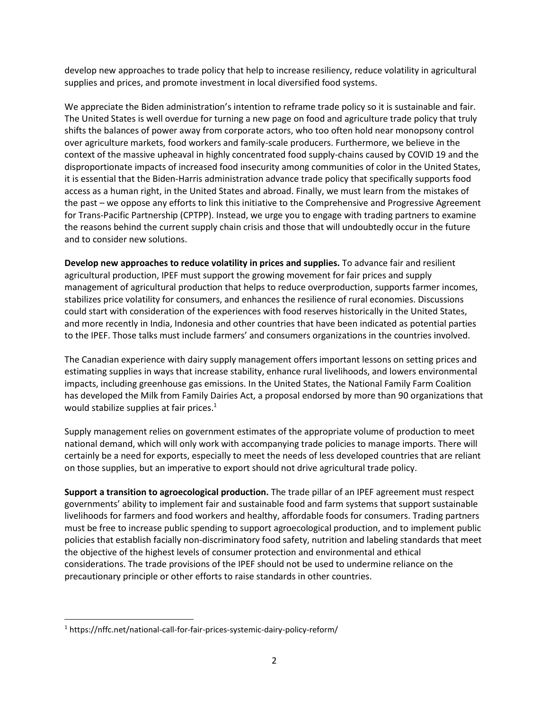develop new approaches to trade policy that help to increase resiliency, reduce volatility in agricultural supplies and prices, and promote investment in local diversified food systems.

We appreciate the Biden administration's intention to reframe trade policy so it is sustainable and fair. The United States is well overdue for turning a new page on food and agriculture trade policy that truly shifts the balances of power away from corporate actors, who too often hold near monopsony control over agriculture markets, food workers and family-scale producers. Furthermore, we believe in the context of the massive upheaval in highly concentrated food supply-chains caused by COVID 19 and the disproportionate impacts of increased food insecurity among communities of color in the United States, it is essential that the Biden-Harris administration advance trade policy that specifically supports food access as a human right, in the United States and abroad. Finally, we must learn from the mistakes of the past – we oppose any efforts to link this initiative to the Comprehensive and Progressive Agreement for Trans-Pacific Partnership (CPTPP). Instead, we urge you to engage with trading partners to examine the reasons behind the current supply chain crisis and those that will undoubtedly occur in the future and to consider new solutions.

**Develop new approaches to reduce volatility in prices and supplies.** To advance fair and resilient agricultural production, IPEF must support the growing movement for fair prices and supply management of agricultural production that helps to reduce overproduction, supports farmer incomes, stabilizes price volatility for consumers, and enhances the resilience of rural economies. Discussions could start with consideration of the experiences with food reserves historically in the United States, and more recently in India, Indonesia and other countries that have been indicated as potential parties to the IPEF. Those talks must include farmers' and consumers organizations in the countries involved.

The Canadian experience with dairy supply management offers important lessons on setting prices and estimating supplies in ways that increase stability, enhance rural livelihoods, and lowers environmental impacts, including greenhouse gas emissions. In the United States, the National Family Farm Coalition has developed the Milk from Family Dairies Act, a proposal endorsed by more than 90 organizations that would stabilize supplies at fair prices.<sup>1</sup>

Supply management relies on government estimates of the appropriate volume of production to meet national demand, which will only work with accompanying trade policies to manage imports. There will certainly be a need for exports, especially to meet the needs of less developed countries that are reliant on those supplies, but an imperative to export should not drive agricultural trade policy.

**Support a transition to agroecological production.** The trade pillar of an IPEF agreement must respect governments' ability to implement fair and sustainable food and farm systems that support sustainable livelihoods for farmers and food workers and healthy, affordable foods for consumers. Trading partners must be free to increase public spending to support agroecological production, and to implement public policies that establish facially non-discriminatory food safety, nutrition and labeling standards that meet the objective of the highest levels of consumer protection and environmental and ethical considerations. The trade provisions of the IPEF should not be used to undermine reliance on the precautionary principle or other efforts to raise standards in other countries.

l

<sup>1</sup> https://nffc.net/national-call-for-fair-prices-systemic-dairy-policy-reform/